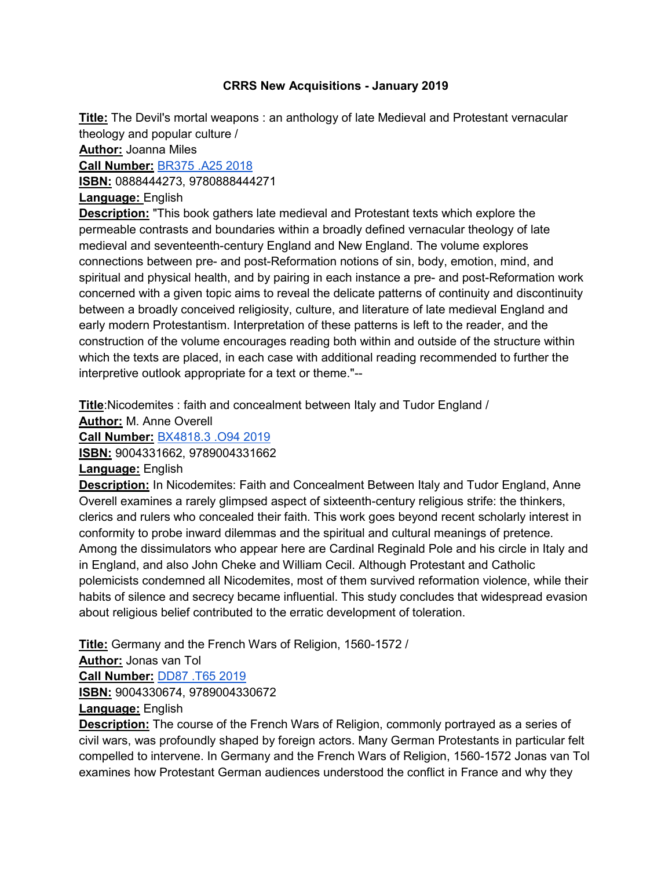## **CRRS New Acquisitions - January 2019**

**Title:** The Devil's mortal weapons : an anthology of late Medieval and Protestant vernacular theology and popular culture /

**Author:** Joanna Miles

**Call Number:** [BR375 .A25 2018](https://search.library.utoronto.ca/details?11998801)

**ISBN:** 0888444273, 9780888444271

# **Language:** English

**Description:** "This book gathers late medieval and Protestant texts which explore the permeable contrasts and boundaries within a broadly defined vernacular theology of late medieval and seventeenth-century England and New England. The volume explores connections between pre- and post-Reformation notions of sin, body, emotion, mind, and spiritual and physical health, and by pairing in each instance a pre- and post-Reformation work concerned with a given topic aims to reveal the delicate patterns of continuity and discontinuity between a broadly conceived religiosity, culture, and literature of late medieval England and early modern Protestantism. Interpretation of these patterns is left to the reader, and the construction of the volume encourages reading both within and outside of the structure within which the texts are placed, in each case with additional reading recommended to further the interpretive outlook appropriate for a text or theme."--

**Title**:Nicodemites : faith and concealment between Italy and Tudor England /

**Author:** M. Anne Overell

**Call Number:** [BX4818.3 .O94 2019](https://search.library.utoronto.ca/details?12000930)

**ISBN:** 9004331662, 9789004331662

**Language:** English

**Description:** In Nicodemites: Faith and Concealment Between Italy and Tudor England, Anne Overell examines a rarely glimpsed aspect of sixteenth-century religious strife: the thinkers, clerics and rulers who concealed their faith. This work goes beyond recent scholarly interest in conformity to probe inward dilemmas and the spiritual and cultural meanings of pretence. Among the dissimulators who appear here are Cardinal Reginald Pole and his circle in Italy and in England, and also John Cheke and William Cecil. Although Protestant and Catholic polemicists condemned all Nicodemites, most of them survived reformation violence, while their habits of silence and secrecy became influential. This study concludes that widespread evasion about religious belief contributed to the erratic development of toleration.

**Title:** Germany and the French Wars of Religion, 1560-1572 /

**Author:** Jonas van Tol

**Call Number:** [DD87 .T65 2019](https://search.library.utoronto.ca/details?12016740)

**ISBN:** 9004330674, 9789004330672

## **Language:** English

**Description:** The course of the French Wars of Religion, commonly portrayed as a series of civil wars, was profoundly shaped by foreign actors. Many German Protestants in particular felt compelled to intervene. In Germany and the French Wars of Religion, 1560-1572 Jonas van Tol examines how Protestant German audiences understood the conflict in France and why they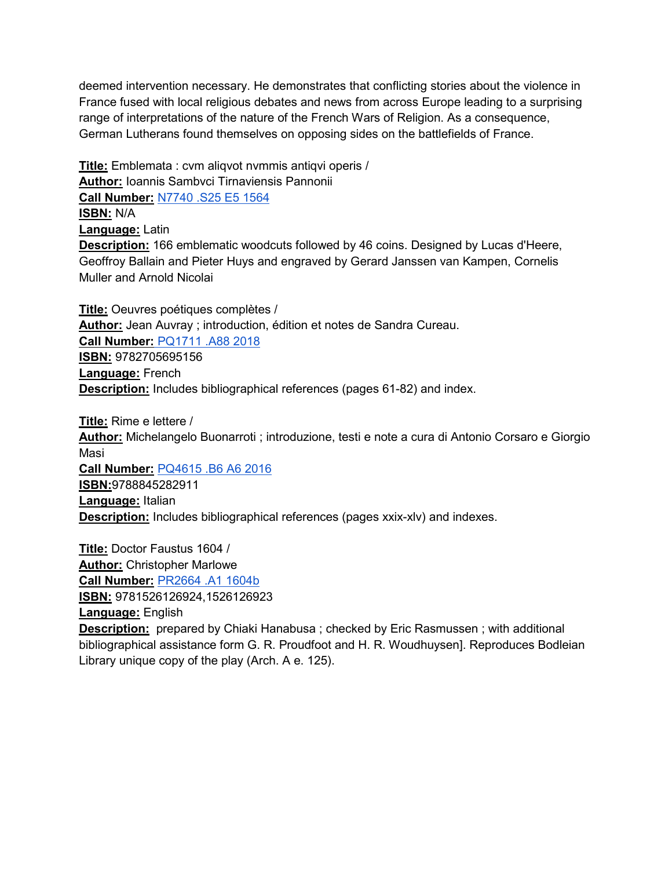deemed intervention necessary. He demonstrates that conflicting stories about the violence in France fused with local religious debates and news from across Europe leading to a surprising range of interpretations of the nature of the French Wars of Religion. As a consequence, German Lutherans found themselves on opposing sides on the battlefields of France.

**Title:** Emblemata : cvm aliqvot nvmmis antiqvi operis / **Author:** Ioannis Sambvci Tirnaviensis Pannonii **Call Number:** [N7740 .S25 E5 1564](https://search.library.utoronto.ca/details?11999383&uuid=dbc6ab28-0c2c-4275-a997-99af0004b752) **ISBN:** N/A **Language:** Latin **Description:** 166 emblematic woodcuts followed by 46 coins. Designed by Lucas d'Heere, Geoffroy Ballain and Pieter Huys and engraved by Gerard Janssen van Kampen, Cornelis Muller and Arnold Nicolai

**Title:** Oeuvres poétiques complètes / **Author:** Jean Auvray ; introduction, édition et notes de Sandra Cureau. **Call Number:** [PQ1711 .A88 2018](https://search.library.utoronto.ca/details?11877858) **ISBN:** 9782705695156 **Language:** French **Description:** Includes bibliographical references (pages 61-82) and index.

**Title:** Rime e lettere / **Author:** Michelangelo Buonarroti ; introduzione, testi e note a cura di Antonio Corsaro e Giorgio Masi **Call Number:** [PQ4615 .B6 A6 2016](https://search.library.utoronto.ca/details?11397485) **ISBN:**9788845282911 **Language:** Italian **Description:** Includes bibliographical references (pages xxix-xlv) and indexes.

**Title:** Doctor Faustus 1604 / **Author:** Christopher Marlowe **Call Number:** [PR2664 .A1 1604b](https://search.library.utoronto.ca/details?11999594)

**ISBN:** 9781526126924,1526126923

**Language:** English

**Description:** prepared by Chiaki Hanabusa ; checked by Eric Rasmussen ; with additional bibliographical assistance form G. R. Proudfoot and H. R. Woudhuysen]. Reproduces Bodleian Library unique copy of the play (Arch. A e. 125).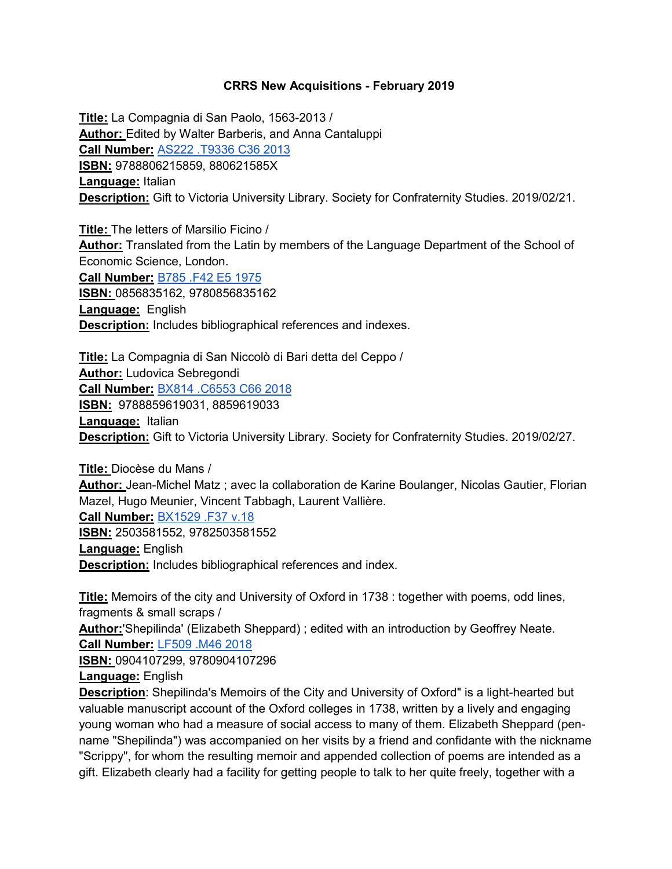### **CRRS New Acquisitions - February 2019**

**Title:** La Compagnia di San Paolo, 1563-2013 / **Author:** Edited by Walter Barberis, and Anna Cantaluppi **Call Number[:](https://search.library.utoronto.ca/details?12058654)** [AS222 .T9336 C36 2013](https://search.library.utoronto.ca/details?12058654) **ISBN:** 9788806215859, 880621585X **Language:** Italian **Description:** Gift to Victoria University Library. Society for Confraternity Studies. 2019/02/21.

**Title:** The letters of Marsilio Ficino / **Author:** Translated from the Latin by members of the Language Department of the School of Economic Science, London.

**Call Number:** [B785 .F42 E5 1975](https://search.library.utoronto.ca/details?2386280) **ISBN:** 0856835162, 9780856835162 **Language:** English **Description:** Includes bibliographical references and indexes.

**Title:** La Compagnia di San Niccolò di Bari detta del Ceppo / **Author:** Ludovica Sebregondi **Call Number[:](https://search.library.utoronto.ca/details?12125777)** [BX814 .C6553 C66 2018](https://search.library.utoronto.ca/details?12125777) **ISBN:** 9788859619031, 8859619033 **Language:** Italian **Description:** Gift to Victoria University Library. Society for Confraternity Studies. 2019/02/27.

**Title:** Diocèse du Mans /

**Author:** Jean-Michel Matz ; avec la collaboration de Karine Boulanger, Nicolas Gautier, Florian Mazel, Hugo Meunier, Vincent Tabbagh, Laurent Vallière.

**Call Number:** [BX1529 .F37 v.18](https://search.library.utoronto.ca/details?12020986)

**ISBN:** 2503581552, 9782503581552 **Language:** English **Description:** Includes bibliographical references and index.

**Title:** Memoirs of the city and University of Oxford in 1738 : together with poems, odd lines, fragments & small scraps /

**Author:**'Shepilinda' (Elizabeth Sheppard) ; edited with an introduction by Geoffrey Neate. **Call Number[:](https://search.library.utoronto.ca/details?12032230)** [LF509 .M46 2018](https://search.library.utoronto.ca/details?12032230)

**ISBN:** 0904107299, 9780904107296 **Language:** English

**Description**: Shepilinda's Memoirs of the City and University of Oxford" is a light-hearted but valuable manuscript account of the Oxford colleges in 1738, written by a lively and engaging young woman who had a measure of social access to many of them. Elizabeth Sheppard (penname "Shepilinda") was accompanied on her visits by a friend and confidante with the nickname "Scrippy", for whom the resulting memoir and appended collection of poems are intended as a gift. Elizabeth clearly had a facility for getting people to talk to her quite freely, together with a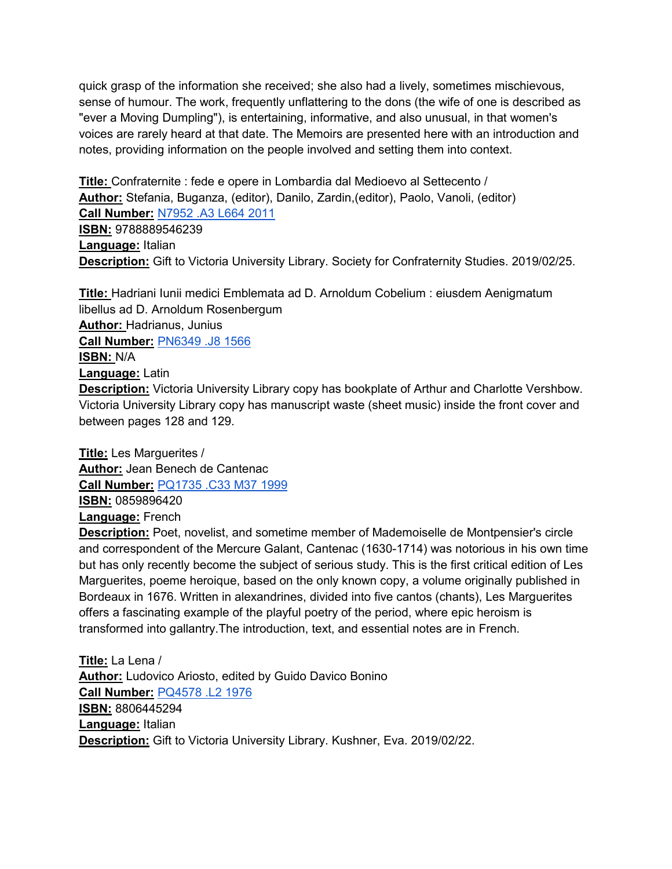quick grasp of the information she received; she also had a lively, sometimes mischievous, sense of humour. The work, frequently unflattering to the dons (the wife of one is described as "ever a Moving Dumpling"), is entertaining, informative, and also unusual, in that women's voices are rarely heard at that date. The Memoirs are presented here with an introduction and notes, providing information on the people involved and setting them into context.

**Title:** Confraternite : fede e opere in Lombardia dal Medioevo al Settecento / **Author:** Stefania, Buganza, (editor), Danilo, Zardin,(editor), Paolo, Vanoli, (editor) **Call Number:** [N7952 .A3 L664 2011](https://search.library.utoronto.ca/details?8291798) **ISBN:** 9788889546239 **Language:** Italian **Description:** Gift to Victoria University Library. Society for Confraternity Studies. 2019/02/25.

**Title:** Hadriani Iunii medici Emblemata ad D. Arnoldum Cobelium : eiusdem Aenigmatum libellus ad D. Arnoldum Rosenbergum **Author:** Hadrianus, Junius **Call Number:** [PN6349 .J8 1566](https://search.library.utoronto.ca/details?12017149&uuid=8cff61a5-5f71-455b-822a-e339c1b91a0a) **ISBN:** N/A **Language:** Latin **Description:** Victoria University Library copy has bookplate of Arthur and Charlotte Vershbow.

Victoria University Library copy has manuscript waste (sheet music) inside the front cover and between pages 128 and 129.

**Title:** Les Marguerites / **Author:** Jean Benech de Cantenac **Call Number:** [PQ1735 .C33 M37 1999](https://search.library.utoronto.ca/details?3102513&uuid=545778dd-c5ba-479f-8db6-f75c2529a5d8) **ISBN:** 0859896420 **Language:** French

**Description:** Poet, novelist, and sometime member of Mademoiselle de Montpensier's circle and correspondent of the Mercure Galant, Cantenac (1630-1714) was notorious in his own time but has only recently become the subject of serious study. This is the first critical edition of Les Marguerites, poeme heroique, based on the only known copy, a volume originally published in Bordeaux in 1676. Written in alexandrines, divided into five cantos (chants), Les Marguerites offers a fascinating example of the playful poetry of the period, where epic heroism is transformed into gallantry.The introduction, text, and essential notes are in French.

**Title:** La Lena / **Author:** Ludovico Ariosto, edited by Guido Davico Bonino **Call Number:** [PQ4578 .L2 1976](https://search.library.utoronto.ca/details?3037282&uuid=ff5c8efd-15b4-42b5-b8b9-3379ed842017) **ISBN:** 8806445294 **Language:** Italian **Description:** Gift to Victoria University Library. Kushner, Eva. 2019/02/22.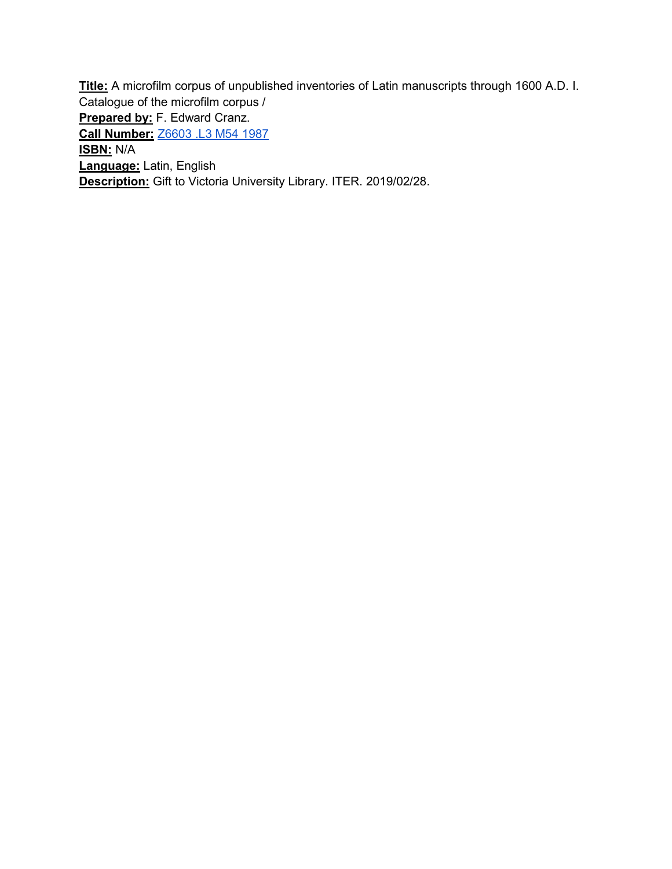**Title:** A microfilm corpus of unpublished inventories of Latin manuscripts through 1600 A.D. I. Catalogue of the microfilm corpus / **Prepared by:** F. Edward Cranz. **Call Number[:](https://search.library.utoronto.ca/details?12127855&uuid=b9b1d4f9-4cd3-4b27-a2b3-d7f2db6ffdfe)** [Z6603 .L3 M54 1987](https://search.library.utoronto.ca/details?12127855&uuid=b9b1d4f9-4cd3-4b27-a2b3-d7f2db6ffdfe) **ISBN:** N/A **Language:** Latin, English **Description:** Gift to Victoria University Library. ITER. 2019/02/28.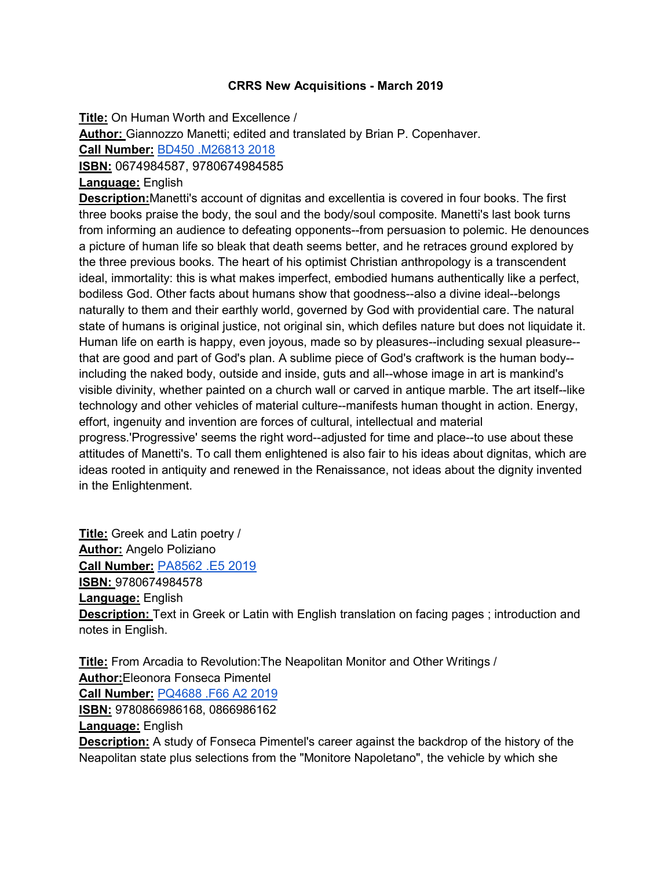### **CRRS New Acquisitions - March 2019**

**Title:** On Human Worth and Excellence /

**Author:** Giannozzo Manetti; edited and translated by Brian P. Copenhaver.

**Call Number:** [BD450 .M26813 2018](https://search.library.utoronto.ca/details?12097844)

**ISBN:** 0674984587, 9780674984585

## **Language:** English

**Description:**Manetti's account of dignitas and excellentia is covered in four books. The first three books praise the body, the soul and the body/soul composite. Manetti's last book turns from informing an audience to defeating opponents--from persuasion to polemic. He denounces a picture of human life so bleak that death seems better, and he retraces ground explored by the three previous books. The heart of his optimist Christian anthropology is a transcendent ideal, immortality: this is what makes imperfect, embodied humans authentically like a perfect, bodiless God. Other facts about humans show that goodness--also a divine ideal--belongs naturally to them and their earthly world, governed by God with providential care. The natural state of humans is original justice, not original sin, which defiles nature but does not liquidate it. Human life on earth is happy, even joyous, made so by pleasures--including sexual pleasure- that are good and part of God's plan. A sublime piece of God's craftwork is the human body- including the naked body, outside and inside, guts and all--whose image in art is mankind's visible divinity, whether painted on a church wall or carved in antique marble. The art itself--like technology and other vehicles of material culture--manifests human thought in action. Energy, effort, ingenuity and invention are forces of cultural, intellectual and material progress.'Progressive' seems the right word--adjusted for time and place--to use about these attitudes of Manetti's. To call them enlightened is also fair to his ideas about dignitas, which are ideas rooted in antiquity and renewed in the Renaissance, not ideas about the dignity invented in the Enlightenment.

**Title:** Greek and Latin poetry / **Author:** Angelo Poliziano **Call Number[:](https://search.library.utoronto.ca/details?12173011)** [PA8562 .E5 2019](https://search.library.utoronto.ca/details?12173011) **ISBN:** 9780674984578 **Language:** English **Description:** Text in Greek or Latin with English translation on facing pages ; introduction and notes in English.

**Title:** From Arcadia to Revolution:The Neapolitan Monitor and Other Writings / **Author:**Eleonora Fonseca Pimentel **Call Number[:](https://search.library.utoronto.ca/details?12172085)** [PQ4688 .F66 A2 2019](https://search.library.utoronto.ca/details?12172085) **ISBN:** 9780866986168, 0866986162 **Language:** English **Description:** A study of Fonseca Pimentel's career against the backdrop of the history of the Neapolitan state plus selections from the "Monitore Napoletano", the vehicle by which she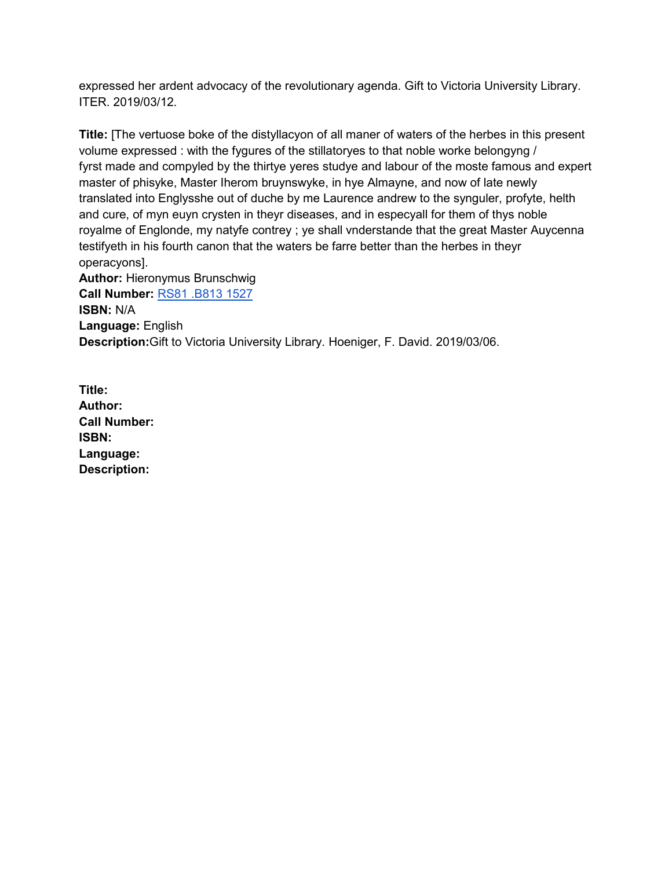expressed her ardent advocacy of the revolutionary agenda. Gift to Victoria University Library. ITER. 2019/03/12.

**Title:** [The vertuose boke of the distyllacyon of all maner of waters of the herbes in this present volume expressed : with the fygures of the stillatoryes to that noble worke belongyng / fyrst made and compyled by the thirtye yeres studye and labour of the moste famous and expert master of phisyke, Master Iherom bruynswyke, in hye Almayne, and now of late newly translated into Englysshe out of duche by me Laurence andrew to the synguler, profyte, helth and cure, of myn euyn crysten in theyr diseases, and in especyall for them of thys noble royalme of Englonde, my natyfe contrey ; ye shall vnderstande that the great Master Auycenna testifyeth in his fourth canon that the waters be farre better than the herbes in theyr operacyons].

**Author:** Hieronymus Brunschwig **Call Number:** [RS81 .B813 1527](https://search.library.utoronto.ca/details?12149809) **ISBN:** N/A **Language:** English **Description:**Gift to Victoria University Library. Hoeniger, F. David. 2019/03/06.

**Title: Author: Call Number: ISBN: Language: Description:**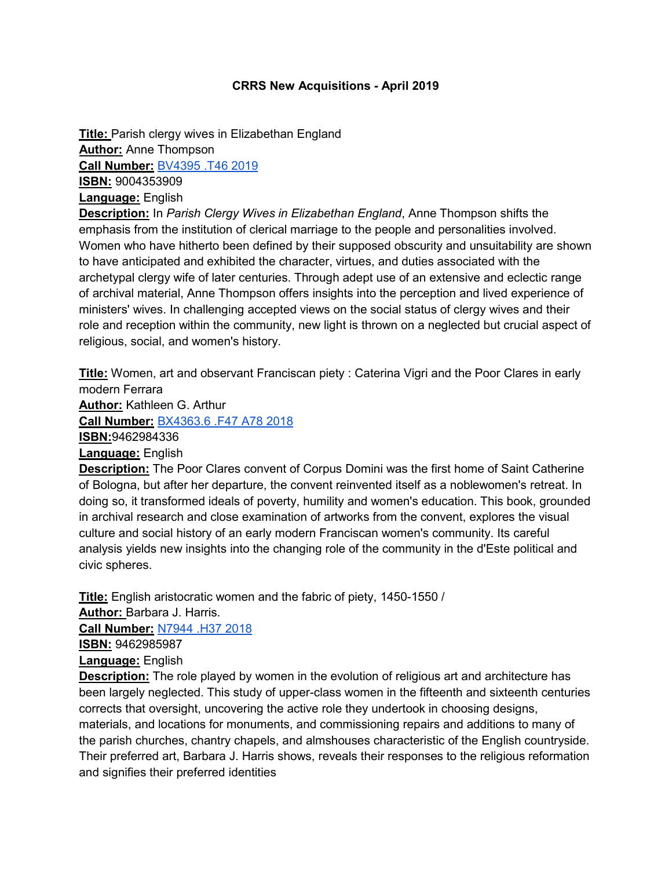### **CRRS New Acquisitions - April 2019**

**Title:** Parish clergy wives in Elizabethan England **Author:** Anne Thompson **Call Number:** [BV4395 .T46 2019](https://search.library.utoronto.ca/details?12229970) **ISBN:** 9004353909 **Language:** English

**Description:** In *Parish Clergy Wives in Elizabethan England*, Anne Thompson shifts the emphasis from the institution of clerical marriage to the people and personalities involved. Women who have hitherto been defined by their supposed obscurity and unsuitability are shown to have anticipated and exhibited the character, virtues, and duties associated with the archetypal clergy wife of later centuries. Through adept use of an extensive and eclectic range of archival material, Anne Thompson offers insights into the perception and lived experience of ministers' wives. In challenging accepted views on the social status of clergy wives and their role and reception within the community, new light is thrown on a neglected but crucial aspect of religious, social, and women's history.

**Title:** Women, art and observant Franciscan piety : Caterina Vigri and the Poor Clares in early modern Ferrara **Author:** Kathleen G. Arthur **Call Number:** [BX4363.6 .F47 A78 2018](https://search.library.utoronto.ca/details?11785131) **ISBN:**9462984336 **Language:** English **Description:** The Poor Clares convent of Corpus Domini was the first home of Saint Catherine of Bologna, but after her departure, the convent reinvented itself as a noblewomen's retreat. In doing so, it transformed ideals of poverty, humility and women's education. This book, grounded in archival research and close examination of artworks from the convent, explores the visual

culture and social history of an early modern Franciscan women's community. Its careful analysis yields new insights into the changing role of the community in the d'Este political and civic spheres.

**Title:** English aristocratic women and the fabric of piety, 1450-1550 /

**Author:** Barbara J. Harris.

**Call Number:** [N7944 .H37 2018](https://search.library.utoronto.ca/details?12230071)

**ISBN:** 9462985987

**Language:** English

**Description:** The role played by women in the evolution of religious art and architecture has been largely neglected. This study of upper-class women in the fifteenth and sixteenth centuries corrects that oversight, uncovering the active role they undertook in choosing designs, materials, and locations for monuments, and commissioning repairs and additions to many of the parish churches, chantry chapels, and almshouses characteristic of the English countryside. Their preferred art, Barbara J. Harris shows, reveals their responses to the religious reformation and signifies their preferred identities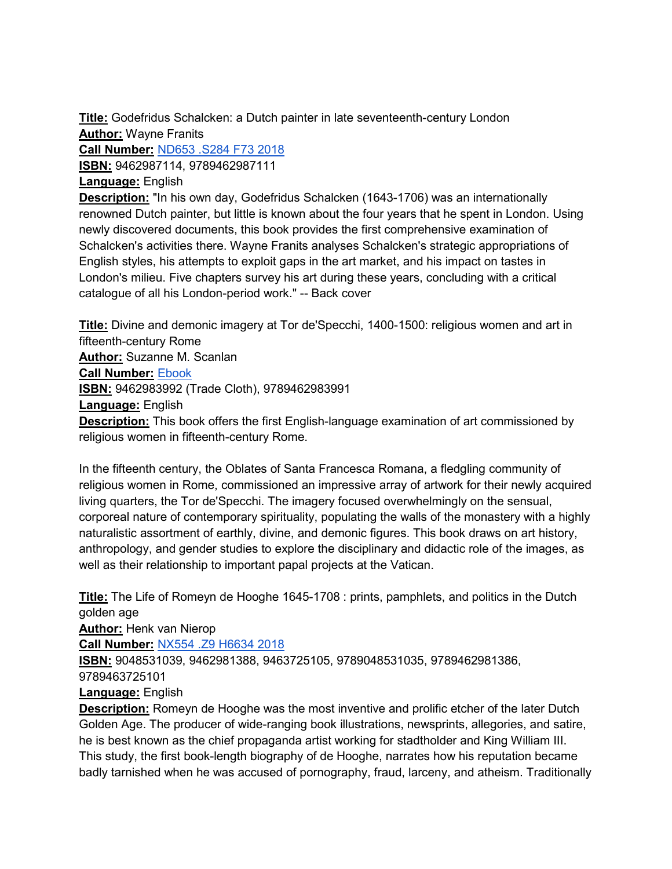**Title:** Godefridus Schalcken: a Dutch painter in late seventeenth-century London **Author:** Wayne Franits

**Call Number:** [ND653 .S284 F73 2018](https://search.library.utoronto.ca/details?12230422&uuid=3818e062-9d44-459e-8141-f6f672822b90) **ISBN:** 9462987114, 9789462987111

# **Language:** English

**Description:** "In his own day, Godefridus Schalcken (1643-1706) was an internationally renowned Dutch painter, but little is known about the four years that he spent in London. Using newly discovered documents, this book provides the first comprehensive examination of Schalcken's activities there. Wayne Franits analyses Schalcken's strategic appropriations of English styles, his attempts to exploit gaps in the art market, and his impact on tastes in London's milieu. Five chapters survey his art during these years, concluding with a critical catalogue of all his London-period work." -- Back cover

**Title:** Divine and demonic imagery at Tor de'Specchi, 1400-1500: religious women and art in fifteenth-century Rome **Author:** Suzanne M. Scanlan **Call Number:** [Ebook](https://search.library.utoronto.ca/details?11915605&uuid=12868135-4ae7-4e8a-8a23-3eafc5568eca) **ISBN:** 9462983992 (Trade Cloth), 9789462983991 **Language:** English **Description:** This book offers the first English-language examination of art commissioned by religious women in fifteenth-century Rome.

In the fifteenth century, the Oblates of Santa Francesca Romana, a fledgling community of religious women in Rome, commissioned an impressive array of artwork for their newly acquired living quarters, the Tor de'Specchi. The imagery focused overwhelmingly on the sensual, corporeal nature of contemporary spirituality, populating the walls of the monastery with a highly naturalistic assortment of earthly, divine, and demonic figures. This book draws on art history, anthropology, and gender studies to explore the disciplinary and didactic role of the images, as well as their relationship to important papal projects at the Vatican.

**Title:** The Life of Romeyn de Hooghe 1645-1708 : prints, pamphlets, and politics in the Dutch golden age

**Author:** Henk van Nierop

**Call Number:** [NX554 .Z9 H6634 2018](https://search.library.utoronto.ca/details?12230112&uuid=4c00945a-4a9b-4433-91ff-0cbcf55022a7)

**ISBN:** 9048531039, 9462981388, 9463725105, 9789048531035, 9789462981386,

9789463725101

**Language:** English

**Description:** Romeyn de Hooghe was the most inventive and prolific etcher of the later Dutch Golden Age. The producer of wide-ranging book illustrations, newsprints, allegories, and satire, he is best known as the chief propaganda artist working for stadtholder and King William III. This study, the first book-length biography of de Hooghe, narrates how his reputation became badly tarnished when he was accused of pornography, fraud, larceny, and atheism. Traditionally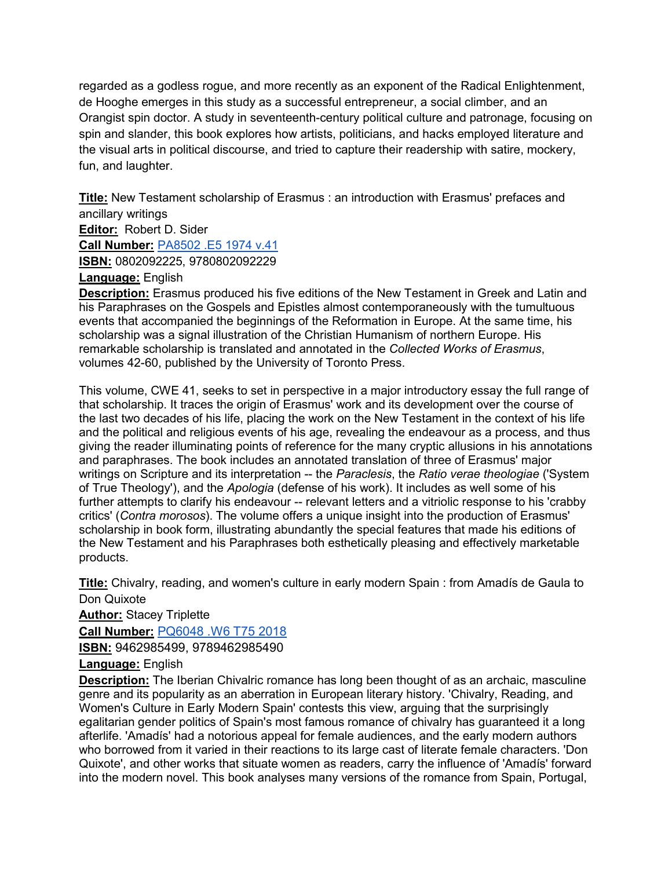regarded as a godless rogue, and more recently as an exponent of the Radical Enlightenment, de Hooghe emerges in this study as a successful entrepreneur, a social climber, and an Orangist spin doctor. A study in seventeenth-century political culture and patronage, focusing on spin and slander, this book explores how artists, politicians, and hacks employed literature and the visual arts in political discourse, and tried to capture their readership with satire, mockery, fun, and laughter.

**Title:** New Testament scholarship of Erasmus : an introduction with Erasmus' prefaces and ancillary writings **Editor:** Robert D. Sider

**Call Number:** [PA8502 .E5 1974 v.41](https://search.library.utoronto.ca/details?12225061&uuid=0e8b0ecc-c440-48fe-bf18-43d9cd0c441c) **ISBN:** 0802092225, 9780802092229

**Language:** English

**Description:** Erasmus produced his five editions of the New Testament in Greek and Latin and his Paraphrases on the Gospels and Epistles almost contemporaneously with the tumultuous events that accompanied the beginnings of the Reformation in Europe. At the same time, his scholarship was a signal illustration of the Christian Humanism of northern Europe. His remarkable scholarship is translated and annotated in the *Collected Works of Erasmus*, volumes 42-60, published by the University of Toronto Press.

This volume, CWE 41, seeks to set in perspective in a major introductory essay the full range of that scholarship. It traces the origin of Erasmus' work and its development over the course of the last two decades of his life, placing the work on the New Testament in the context of his life and the political and religious events of his age, revealing the endeavour as a process, and thus giving the reader illuminating points of reference for the many cryptic allusions in his annotations and paraphrases. The book includes an annotated translation of three of Erasmus' major writings on Scripture and its interpretation -- the *Paraclesis*, the *Ratio verae theologiae* ('System of True Theology'), and the *Apologia* (defense of his work). It includes as well some of his further attempts to clarify his endeavour -- relevant letters and a vitriolic response to his 'crabby critics' (*Contra morosos*). The volume offers a unique insight into the production of Erasmus' scholarship in book form, illustrating abundantly the special features that made his editions of the New Testament and his Paraphrases both esthetically pleasing and effectively marketable products.

**Title:** Chivalry, reading, and women's culture in early modern Spain : from Amadís de Gaula to Don Quixote

**Author:** Stacey Triplette

**Call Number:** [PQ6048 .W6 T75 2018](https://search.library.utoronto.ca/details?12230107&uuid=ecbdb1c8-bdb4-43b1-9772-91f37a44b08e)

**ISBN:** 9462985499, 9789462985490

**Language:** English

**Description:** The Iberian Chivalric romance has long been thought of as an archaic, masculine genre and its popularity as an aberration in European literary history. 'Chivalry, Reading, and Women's Culture in Early Modern Spain' contests this view, arguing that the surprisingly egalitarian gender politics of Spain's most famous romance of chivalry has guaranteed it a long afterlife. 'Amadís' had a notorious appeal for female audiences, and the early modern authors who borrowed from it varied in their reactions to its large cast of literate female characters. 'Don Quixote', and other works that situate women as readers, carry the influence of 'Amadís' forward into the modern novel. This book analyses many versions of the romance from Spain, Portugal,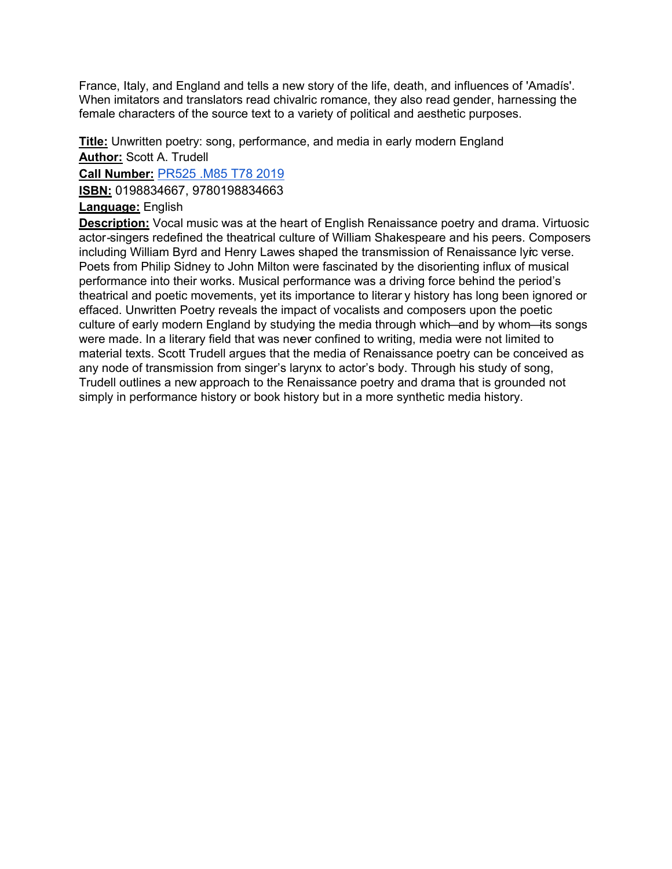France, Italy, and England and tells a new story of the life, death, and influences of 'Amadís'. When imitators and translators read chivalric romance, they also read gender, harnessing the female characters of the source text to a variety of political and aesthetic purposes.

**Title:** Unwritten poetry: song, performance, and media in early modern England **Author:** Scott A. Trudell

**Call Number:** [PR525 .M85 T78 2019](https://search.library.utoronto.ca/details?12148612&uuid=7ceee7d9-b7ce-4ae6-8567-f98d0423f0cf)

**ISBN:** 0198834667, 9780198834663

# **Language:** English

**Description:** Vocal music was at the heart of English Renaissance poetry and drama. Virtuosic actor-singers redefined the theatrical culture of William Shakespeare and his peers. Composers including William Byrd and Henry Lawes shaped the transmission of Renaissance lyic verse. Poets from Philip Sidney to John Milton were fascinated by the disorienting influx of musical performance into their works. Musical performance was a driving force behind the period's theatrical and poetic movements, yet its importance to literar y history has long been ignored or effaced. Unwritten Poetry reveals the impact of vocalists and composers upon the poetic culture of early modern England by studying the media through which—and by whom—its songs were made. In a literary field that was never confined to writing, media were not limited to material texts. Scott Trudell argues that the media of Renaissance poetry can be conceived as any node of transmission from singer's larynx to actor's body. Through his study of song, Trudell outlines a new approach to the Renaissance poetry and drama that is grounded not simply in performance history or book history but in a more synthetic media history.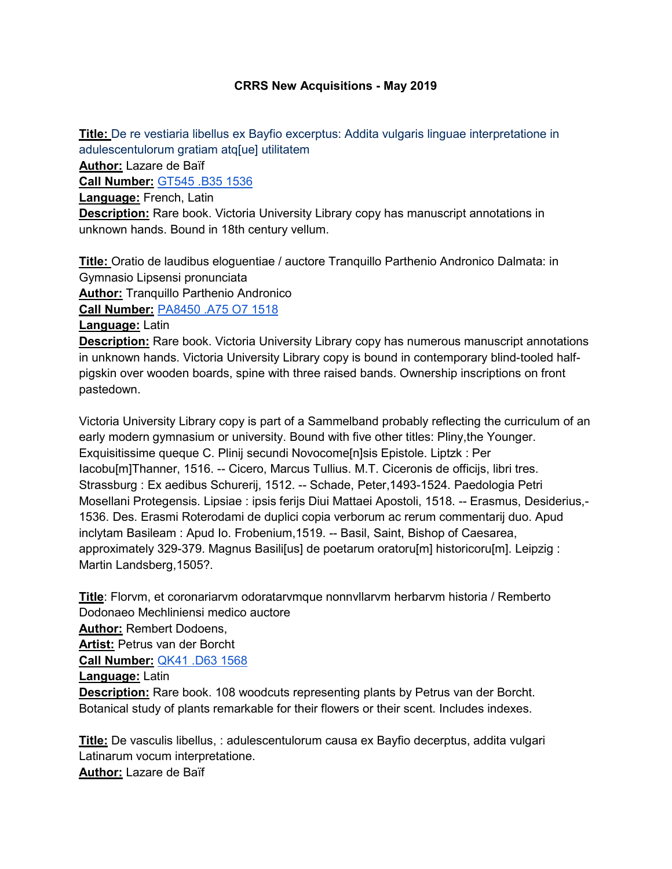# **CRRS New Acquisitions - May 2019**

**Title:** De re vestiaria libellus ex Bayfio excerptus: Addita vulgaris linguae interpretatione in adulescentulorum gratiam atq[ue] utilitatem

**Author:** Lazare de Baïf

**Call Number:** [GT545 .B35 1536](https://search.library.utoronto.ca/details?12305825&uuid=ba2462f5-86f4-482f-80e2-95ffe6181610)

**Language:** French, Latin

**Description:** Rare book. Victoria University Library copy has manuscript annotations in unknown hands. Bound in 18th century vellum.

**Title:** Oratio de laudibus eloguentiae / auctore Tranquillo Parthenio Andronico Dalmata: in Gymnasio Lipsensi pronunciata **Author:** Tranquillo Parthenio Andronico **Call Number:** [PA8450 .A75 O7 1518](https://search.library.utoronto.ca/details?12205196&uuid=0dd824fb-6e6c-4a02-9d4b-21c822d1bc6d)

**Language:** Latin

**Description:** Rare book. Victoria University Library copy has numerous manuscript annotations in unknown hands. Victoria University Library copy is bound in contemporary blind-tooled halfpigskin over wooden boards, spine with three raised bands. Ownership inscriptions on front pastedown.

Victoria University Library copy is part of a Sammelband probably reflecting the curriculum of an early modern gymnasium or university. Bound with five other titles: Pliny,the Younger. Exquisitissime queque C. Plinij secundi Novocome[n]sis Epistole. Liptzk : Per Iacobu[m]Thanner, 1516. -- Cicero, Marcus Tullius. M.T. Ciceronis de officijs, libri tres. Strassburg : Ex aedibus Schurerij, 1512. -- Schade, Peter,1493-1524. Paedologia Petri Mosellani Protegensis. Lipsiae : ipsis ferijs Diui Mattaei Apostoli, 1518. -- Erasmus, Desiderius,- 1536. Des. Erasmi Roterodami de duplici copia verborum ac rerum commentarij duo. Apud inclytam Basileam : Apud Io. Frobenium,1519. -- Basil, Saint, Bishop of Caesarea, approximately 329-379. Magnus Basili[us] de poetarum oratoru[m] historicoru[m]. Leipzig : Martin Landsberg,1505?.

**Title**: Florvm, et coronariarvm odoratarvmque nonnvllarvm herbarvm historia / Remberto Dodonaeo Mechliniensi medico auctore **Author:** Rembert Dodoens,

**Artist:** Petrus van der Borcht

**Call Number:** [QK41 .D63 1568](https://search.library.utoronto.ca/details?12303803&uuid=7a985883-61f3-4800-8857-6c8dddecb115)

**Language:** Latin

**Description:** Rare book. 108 woodcuts representing plants by Petrus van der Borcht. Botanical study of plants remarkable for their flowers or their scent. Includes indexes.

**Title:** De vasculis libellus, : adulescentulorum causa ex Bayfio decerptus, addita vulgari Latinarum vocum interpretatione. **Author:** Lazare de Baïf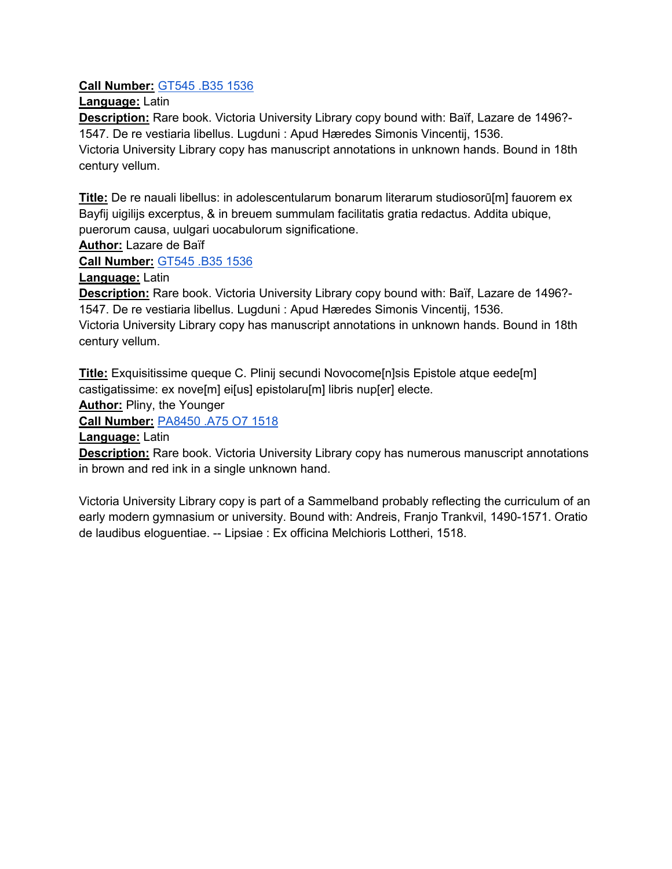# **Call Number:** [GT545 .B35 1536](https://search.library.utoronto.ca/details?12356817&uuid=803a7c4d-dc05-4b86-8d44-ada6deb7ca72)

**Language:** Latin

**Description:** Rare book. Victoria University Library copy bound with: Baïf, Lazare de 1496?- 1547. De re vestiaria libellus. Lugduni : Apud Hæredes Simonis Vincentij, 1536.

Victoria University Library copy has manuscript annotations in unknown hands. Bound in 18th century vellum.

**Title:** De re nauali libellus: in adolescentularum bonarum literarum studiosorū[m] fauorem ex Bayfij uigilijs excerptus, & in breuem summulam facilitatis gratia redactus. Addita ubique, puerorum causa, uulgari uocabulorum significatione.

**Author:** Lazare de Baïf

**Call Number:** [GT545 .B35 1536](https://search.library.utoronto.ca/details?12356821&uuid=cb54cddd-47a1-42ec-896c-e7e818d8ff1e)

**Language:** Latin

**Description:** Rare book. Victoria University Library copy bound with: Baïf, Lazare de 1496?- 1547. De re vestiaria libellus. Lugduni : Apud Hæredes Simonis Vincentij, 1536.

Victoria University Library copy has manuscript annotations in unknown hands. Bound in 18th century vellum.

**Title:** Exquisitissime queque C. Plinij secundi Novocome[n]sis Epistole atque eede[m] castigatissime: ex nove[m] ei[us] epistolaru[m] libris nup[er] electe.

**Author:** Pliny, the Younger

**Call Number:** [PA8450 .A75 O7 1518](https://search.library.utoronto.ca/details?12357152&uuid=d95fc601-8217-45e1-81bf-6a73b12ff5dd)

**Language:** Latin

**Description:** Rare book. Victoria University Library copy has numerous manuscript annotations in brown and red ink in a single unknown hand.

Victoria University Library copy is part of a Sammelband probably reflecting the curriculum of an early modern gymnasium or university. Bound with: Andreis, Franjo Trankvil, 1490-1571. Oratio de laudibus eloguentiae. -- Lipsiae : Ex officina Melchioris Lottheri, 1518.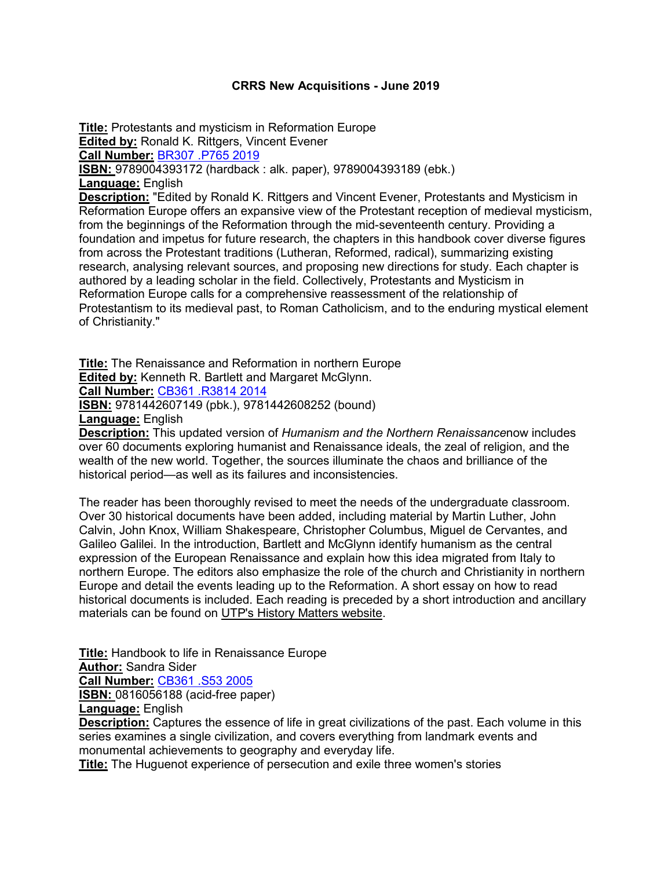#### **CRRS New Acquisitions - June 2019**

**Title:** Protestants and mysticism in Reformation Europe **Edited by: Ronald K. Rittgers, Vincent Evener Call Number:** [BR307 .P765 2019](https://search.library.utoronto.ca/details?12372681) **ISBN:** 9789004393172 (hardback : alk. paper), 9789004393189 (ebk.) **Language:** English **Description:** "Edited by Ronald K. Rittgers and Vincent Evener, Protestants and Mysticism in Reformation Europe offers an expansive view of the Protestant reception of medieval mysticism, from the beginnings of the Reformation through the mid-seventeenth century. Providing a foundation and impetus for future research, the chapters in this handbook cover diverse figures from across the Protestant traditions (Lutheran, Reformed, radical), summarizing existing research, analysing relevant sources, and proposing new directions for study. Each chapter is authored by a leading scholar in the field. Collectively, Protestants and Mysticism in Reformation Europe calls for a comprehensive reassessment of the relationship of Protestantism to its medieval past, to Roman Catholicism, and to the enduring mystical element of Christianity."

**Title:** The Renaissance and Reformation in northern Europe **Edited by: Kenneth R. Bartlett and Margaret McGlynn.** 

**Call Number:** [CB361 .R3814 2014](https://search.library.utoronto.ca/details?9282925)

**ISBN:** 9781442607149 (pbk.), 9781442608252 (bound)

**Language:** English

**Description:** This updated version of *Humanism and the Northern Renaissance*now includes over 60 documents exploring humanist and Renaissance ideals, the zeal of religion, and the wealth of the new world. Together, the sources illuminate the chaos and brilliance of the historical period—as well as its failures and inconsistencies.

The reader has been thoroughly revised to meet the needs of the undergraduate classroom. Over 30 historical documents have been added, including material by Martin Luther, John Calvin, John Knox, William Shakespeare, Christopher Columbus, Miguel de Cervantes, and Galileo Galilei. In the introduction, Bartlett and McGlynn identify humanism as the central expression of the European Renaissance and explain how this idea migrated from Italy to northern Europe. The editors also emphasize the role of the church and Christianity in northern Europe and detail the events leading up to the Reformation. A short essay on how to read historical documents is included. Each reading is preceded by a short introduction and ancillary materials can be found on [UTP's History Matters website.](http://www.utphistorymatters.com/)

**Title:** Handbook to life in Renaissance Europe **Author:** Sandra Sider **Call Number:** [CB361 .S53 2005](https://search.library.utoronto.ca/details?5661168&uuid=e70adbc3-07c0-4d0a-adb8-2879941127a2) **ISBN: 0816056188 (acid-free paper) Language:** English **Description:** Captures the essence of life in great civilizations of the past. Each volume in this

series examines a single civilization, and covers everything from landmark events and monumental achievements to geography and everyday life.

**Title:** The Huguenot experience of persecution and exile three women's stories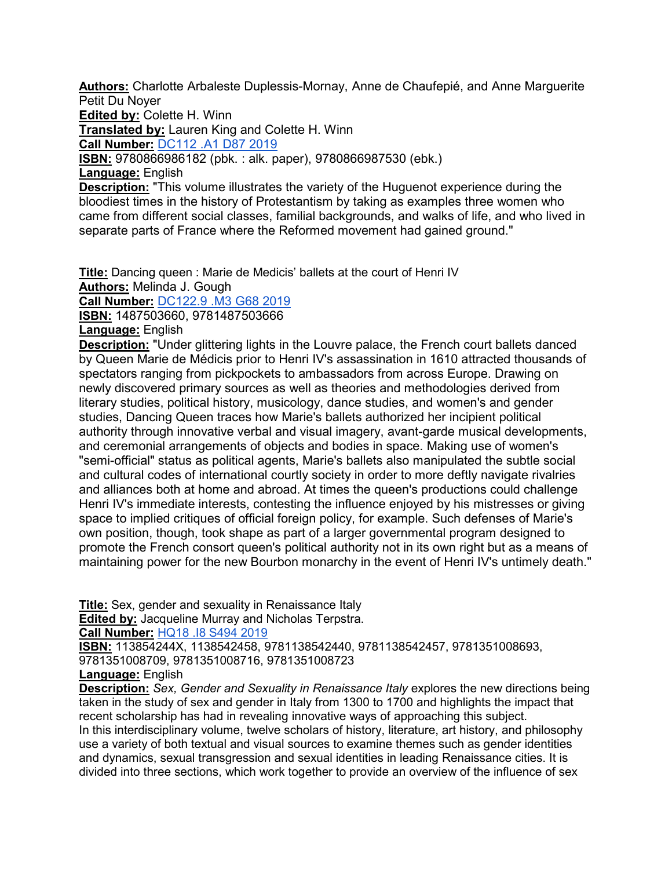**Authors:** Charlotte Arbaleste Duplessis-Mornay, Anne de Chaufepié, and Anne Marguerite Petit Du Noyer

**Edited by:** Colette H. Winn

**Translated by:** Lauren King and Colette H. Winn

**Call Number:** [DC112 .A1 D87 2019](https://search.library.utoronto.ca/details?12379055&uuid=d7ed610e-bf57-44c7-a89f-44895d72dafe)

**ISBN:** 9780866986182 (pbk. : alk. paper), 9780866987530 (ebk.)

**Language:** English

**Description:** "This volume illustrates the variety of the Huguenot experience during the bloodiest times in the history of Protestantism by taking as examples three women who came from different social classes, familial backgrounds, and walks of life, and who lived in separate parts of France where the Reformed movement had gained ground."

**Title:** Dancing queen : Marie de Medicis' ballets at the court of Henri IV **Authors:** Melinda J. Gough

**Call Number:** [DC122.9 .M3 G68 2019](https://search.library.utoronto.ca/details?12241702&uuid=cd1026e2-2b03-43ea-bc51-19f606067bf0)

**ISBN:** 1487503660, 9781487503666

**Language:** English

**Description:** "Under glittering lights in the Louvre palace, the French court ballets danced by Queen Marie de Médicis prior to Henri IV's assassination in 1610 attracted thousands of spectators ranging from pickpockets to ambassadors from across Europe. Drawing on newly discovered primary sources as well as theories and methodologies derived from literary studies, political history, musicology, dance studies, and women's and gender studies, Dancing Queen traces how Marie's ballets authorized her incipient political authority through innovative verbal and visual imagery, avant-garde musical developments, and ceremonial arrangements of objects and bodies in space. Making use of women's "semi-official" status as political agents, Marie's ballets also manipulated the subtle social and cultural codes of international courtly society in order to more deftly navigate rivalries and alliances both at home and abroad. At times the queen's productions could challenge Henri IV's immediate interests, contesting the influence enjoyed by his mistresses or giving space to implied critiques of official foreign policy, for example. Such defenses of Marie's own position, though, took shape as part of a larger governmental program designed to promote the French consort queen's political authority not in its own right but as a means of maintaining power for the new Bourbon monarchy in the event of Henri IV's untimely death."

**Title:** Sex, gender and sexuality in Renaissance Italy **Edited by:** Jacqueline Murray and Nicholas Terpstra.

**Call Number:** [HQ18 .I8 S494 2019](https://search.library.utoronto.ca/details?12228591&uuid=d3fd76b1-742c-472c-9e53-71a5d9a0724a)

**ISBN:** 113854244X, 1138542458, 9781138542440, 9781138542457, 9781351008693, 9781351008709, 9781351008716, 9781351008723

**Language:** English

**Description:** *Sex, Gender and Sexuality in Renaissance Italy* explores the new directions being taken in the study of sex and gender in Italy from 1300 to 1700 and highlights the impact that recent scholarship has had in revealing innovative ways of approaching this subject. In this interdisciplinary volume, twelve scholars of history, literature, art history, and philosophy use a variety of both textual and visual sources to examine themes such as gender identities and dynamics, sexual transgression and sexual identities in leading Renaissance cities. It is divided into three sections, which work together to provide an overview of the influence of sex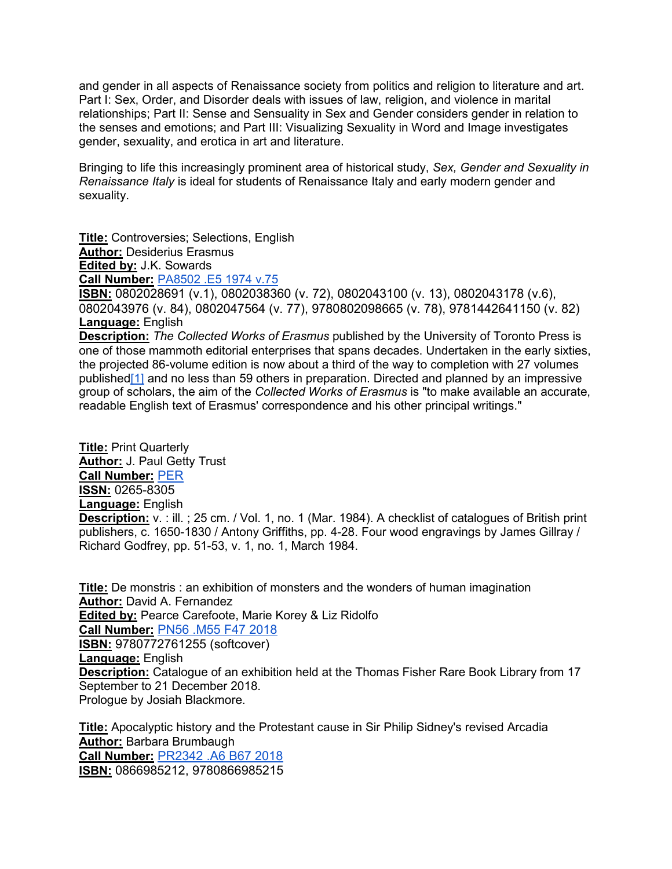and gender in all aspects of Renaissance society from politics and religion to literature and art. Part I: Sex, Order, and Disorder deals with issues of law, religion, and violence in marital relationships; Part II: Sense and Sensuality in Sex and Gender considers gender in relation to the senses and emotions; and Part III: Visualizing Sexuality in Word and Image investigates gender, sexuality, and erotica in art and literature.

Bringing to life this increasingly prominent area of historical study, *Sex, Gender and Sexuality in Renaissance Italy* is ideal for students of Renaissance Italy and early modern gender and sexuality.

**Title:** Controversies; Selections, English **Author:** Desiderius Erasmus **Edited by:** J.K. Sowards **Call Number:** [PA8502 .E5 1974 v.75](https://search.library.utoronto.ca/details?3156167&uuid=17653695-3c3e-426c-b8c9-2a2f4c407ae8)

**ISBN:** 0802028691 (v.1), 0802038360 (v. 72), 0802043100 (v. 13), 0802043178 (v.6), 0802043976 (v. 84), 0802047564 (v. 77), 9780802098665 (v. 78), 9781442641150 (v. 82) **Language:** English

**Description:** *The Collected Works of Erasmus* published by the University of Toronto Press is one of those mammoth editorial enterprises that spans decades. Undertaken in the early sixties, the projected 86-volume edition is now about a third of the way to completion with 27 volumes publishe[d\[1\]](https://pum.umontreal.ca/revues/surfaces/vol3/vallee.html#fn0) and no less than 59 others in preparation. Directed and planned by an impressive group of scholars, the aim of the *Collected Works of Erasmus* is "to make available an accurate, readable English text of Erasmus' correspondence and his other principal writings."

**Title:** Print Quarterly **Author:** J. Paul Getty Trust **Call Number:** [PER](https://search.library.utoronto.ca/details?3159661&uuid=f702be3d-fca8-4293-9932-5fc663cdcca7) **ISSN:** 0265-8305 **Language:** English **Description:** v. : ill. ; 25 cm. / Vol. 1, no. 1 (Mar. 1984). A checklist of catalogues of British print publishers, c. 1650-1830 / Antony Griffiths, pp. 4-28. Four wood engravings by James Gillray / Richard Godfrey, pp. 51-53, v. 1, no. 1, March 1984.

**Title:** De monstris : an exhibition of monsters and the wonders of human imagination **Author:** David A. Fernandez **Edited by:** Pearce Carefoote, Marie Korey & Liz Ridolfo **Call Number:** [PN56 .M55 F47 2018](https://search.library.utoronto.ca/details?11900875&uuid=69545cc9-85b2-47a2-a552-d635cdef4652) **ISBN:** 9780772761255 (softcover) **Language:** English **Description:** Catalogue of an exhibition held at the Thomas Fisher Rare Book Library from 17 September to 21 December 2018. Prologue by Josiah Blackmore.

**Title:** Apocalyptic history and the Protestant cause in Sir Philip Sidney's revised Arcadia **Author:** Barbara Brumbaugh

**Call Number:** [PR2342 .A6 B67 2018](https://search.library.utoronto.ca/details?11819639&uuid=03105723-87c5-4e50-a693-8f91487a2c69) **ISBN:** 0866985212, 9780866985215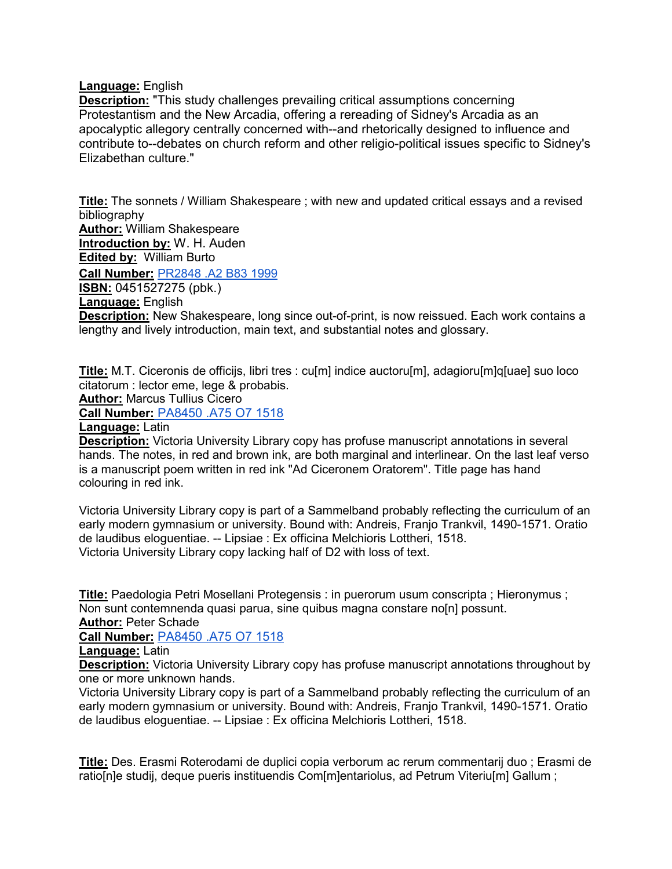### **Language:** English

**Description:** "This study challenges prevailing critical assumptions concerning Protestantism and the New Arcadia, offering a rereading of Sidney's Arcadia as an apocalyptic allegory centrally concerned with--and rhetorically designed to influence and contribute to--debates on church reform and other religio-political issues specific to Sidney's Elizabethan culture."

**Title:** The sonnets / William Shakespeare ; with new and updated critical essays and a revised bibliography **Author:** William Shakespeare **Introduction by:** W. H. Auden **Edited by:** William Burto **Call Number:** [PR2848 .A2 B83 1999](https://search.library.utoronto.ca/details?8622628&uuid=97e697e4-dfe9-4e24-a45f-c21a97a2d2f4) **ISBN:** 0451527275 (pbk.) **Language:** English **Description:** New Shakespeare, long since out-of-print, is now reissued. Each work contains a lengthy and lively introduction, main text, and substantial notes and glossary.

**Title:** M.T. Ciceronis de officijs, libri tres : cu[m] indice auctoru[m], adagioru[m]q[uae] suo loco citatorum : lector eme, lege & probabis.

**Author:** Marcus Tullius Cicero

**Call Number[:](https://search.library.utoronto.ca/details?12360035&uuid=b027d61b-be69-4fa8-a54c-e730d657ea90)** [PA8450 .A75 O7 1518](https://search.library.utoronto.ca/details?12360035&uuid=b027d61b-be69-4fa8-a54c-e730d657ea90)

**Language:** Latin

**Description:** Victoria University Library copy has profuse manuscript annotations in several hands. The notes, in red and brown ink, are both marginal and interlinear. On the last leaf verso is a manuscript poem written in red ink "Ad Ciceronem Oratorem". Title page has hand colouring in red ink.

Victoria University Library copy is part of a Sammelband probably reflecting the curriculum of an early modern gymnasium or university. Bound with: Andreis, Franjo Trankvil, 1490-1571. Oratio de laudibus eloguentiae. -- Lipsiae : Ex officina Melchioris Lottheri, 1518. Victoria University Library copy lacking half of D2 with loss of text.

**Title:** Paedologia Petri Mosellani Protegensis : in puerorum usum conscripta ; Hieronymus ; Non sunt contemnenda quasi parua, sine quibus magna constare no[n] possunt.

**Author:** Peter Schade

**Call Number:** [PA8450 .A75 O7 1518](https://search.library.utoronto.ca/details?12360084&uuid=44ff76e0-2f78-47e4-a58a-3c1f8812d384)

**Language:** Latin

**Description:** Victoria University Library copy has profuse manuscript annotations throughout by one or more unknown hands.

Victoria University Library copy is part of a Sammelband probably reflecting the curriculum of an early modern gymnasium or university. Bound with: Andreis, Franjo Trankvil, 1490-1571. Oratio de laudibus eloguentiae. -- Lipsiae : Ex officina Melchioris Lottheri, 1518.

**Title:** Des. Erasmi Roterodami de duplici copia verborum ac rerum commentarij duo ; Erasmi de ratio[n]e studij, deque pueris instituendis Com[m]entariolus, ad Petrum Viteriu[m] Gallum ;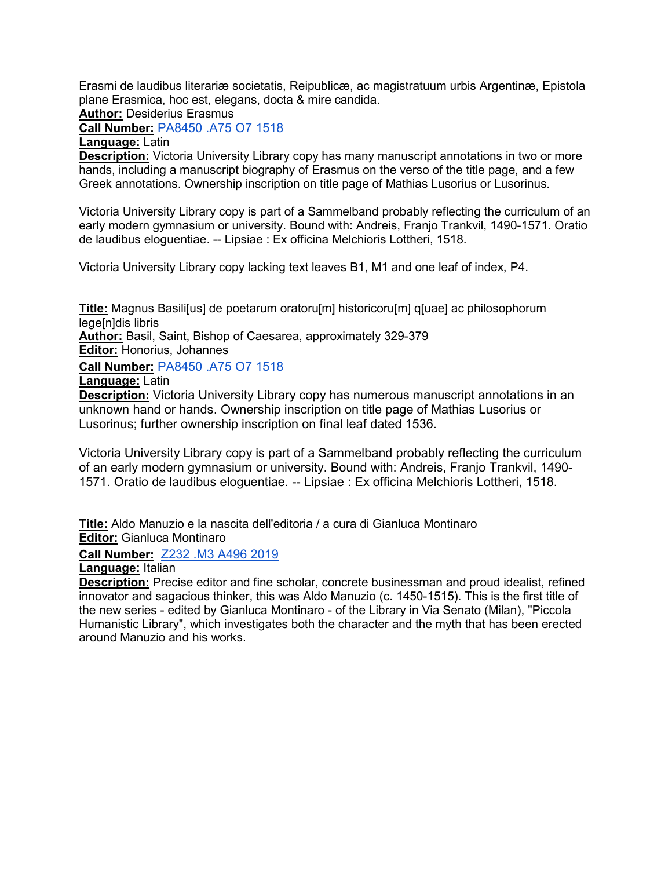Erasmi de laudibus literariæ societatis, Reipublicæ, ac magistratuum urbis Argentinæ, Epistola plane Erasmica, hoc est, elegans, docta & mire candida.

**Author:** Desiderius Erasmus

**Call Number:** [PA8450 .A75 O7 1518](https://search.library.utoronto.ca/details?12360428&uuid=f93830b4-cb71-47ea-96c6-9e5b68211400)

**Language:** Latin

**Description:** Victoria University Library copy has many manuscript annotations in two or more hands, including a manuscript biography of Erasmus on the verso of the title page, and a few Greek annotations. Ownership inscription on title page of Mathias Lusorius or Lusorinus.

Victoria University Library copy is part of a Sammelband probably reflecting the curriculum of an early modern gymnasium or university. Bound with: Andreis, Franjo Trankvil, 1490-1571. Oratio de laudibus eloguentiae. -- Lipsiae : Ex officina Melchioris Lottheri, 1518.

Victoria University Library copy lacking text leaves B1, M1 and one leaf of index, P4.

**Title:** Magnus Basili[us] de poetarum oratoru[m] historicoru[m] q[uae] ac philosophorum lege<sup>[n]</sup>dis libris

**Author:** Basil, Saint, Bishop of Caesarea, approximately 329-379

**Editor:** Honorius, Johannes

**Call Number:** [PA8450 .A75 O7 1518](https://search.library.utoronto.ca/details?12360451)

**Language:** Latin

**Description:** Victoria University Library copy has numerous manuscript annotations in an unknown hand or hands. Ownership inscription on title page of Mathias Lusorius or Lusorinus; further ownership inscription on final leaf dated 1536.

Victoria University Library copy is part of a Sammelband probably reflecting the curriculum of an early modern gymnasium or university. Bound with: Andreis, Franjo Trankvil, 1490- 1571. Oratio de laudibus eloguentiae. -- Lipsiae : Ex officina Melchioris Lottheri, 1518.

**Title:** Aldo Manuzio e la nascita dell'editoria / a cura di Gianluca Montinaro **Editor:** Gianluca Montinaro

## **Call Number:** [Z232 .M3 A496 2019](https://search.library.utoronto.ca/details?12319136)

**Language:** Italian

**Description:** Precise editor and fine scholar, concrete businessman and proud idealist, refined innovator and sagacious thinker, this was Aldo Manuzio (c. 1450-1515). This is the first title of the new series - edited by Gianluca Montinaro - of the Library in Via Senato (Milan), "Piccola Humanistic Library", which investigates both the character and the myth that has been erected around Manuzio and his works.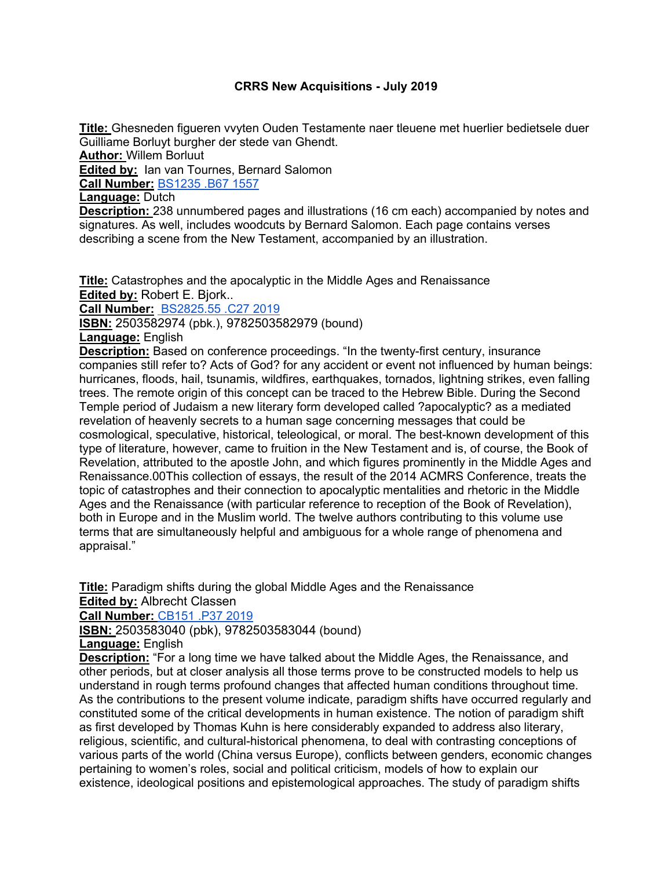### **CRRS New Acquisitions - July 2019**

**Title:** Ghesneden figueren vvyten Ouden Testamente naer tleuene met huerlier bedietsele duer Guilliame Borluyt burgher der stede van Ghendt. **Author:** Willem Borluut **Edited by:** Ian van Tournes, Bernard Salomon **Call Number:** BS1235 .B67 1557 **Language:** Dutch **Description:** 238 unnumbered pages and illustrations (16 cm each) accompanied by notes and signatures. As well, includes woodcuts by Bernard Salomon. Each page contains verses

describing a scene from the New Testament, accompanied by an illustration.

**Title:** Catastrophes and the apocalyptic in the Middle Ages and Renaissance **Edited by:** Robert E. Bjork..

**Call Number:** BS2825.55 .C27 2019

**ISBN:** 2503582974 (pbk.), 9782503582979 (bound)

**Language:** English

**Description:** Based on conference proceedings. "In the twenty-first century, insurance companies still refer to? Acts of God? for any accident or event not influenced by human beings: hurricanes, floods, hail, tsunamis, wildfires, earthquakes, tornados, lightning strikes, even falling trees. The remote origin of this concept can be traced to the Hebrew Bible. During the Second Temple period of Judaism a new literary form developed called ?apocalyptic? as a mediated revelation of heavenly secrets to a human sage concerning messages that could be cosmological, speculative, historical, teleological, or moral. The best-known development of this type of literature, however, came to fruition in the New Testament and is, of course, the Book of Revelation, attributed to the apostle John, and which figures prominently in the Middle Ages and Renaissance.00This collection of essays, the result of the 2014 ACMRS Conference, treats the topic of catastrophes and their connection to apocalyptic mentalities and rhetoric in the Middle Ages and the Renaissance (with particular reference to reception of the Book of Revelation), both in Europe and in the Muslim world. The twelve authors contributing to this volume use terms that are simultaneously helpful and ambiguous for a whole range of phenomena and appraisal."

**Title:** Paradigm shifts during the global Middle Ages and the Renaissance **Edited by:** Albrecht Classen

**Call Number:** CB151 .P37 2019

**ISBN:** 2503583040 (pbk), 9782503583044 (bound)

**Language:** English

**Description:** "For a long time we have talked about the Middle Ages, the Renaissance, and other periods, but at closer analysis all those terms prove to be constructed models to help us understand in rough terms profound changes that affected human conditions throughout time. As the contributions to the present volume indicate, paradigm shifts have occurred regularly and constituted some of the critical developments in human existence. The notion of paradigm shift as first developed by Thomas Kuhn is here considerably expanded to address also literary, religious, scientific, and cultural-historical phenomena, to deal with contrasting conceptions of various parts of the world (China versus Europe), conflicts between genders, economic changes pertaining to women's roles, social and political criticism, models of how to explain our existence, ideological positions and epistemological approaches. The study of paradigm shifts